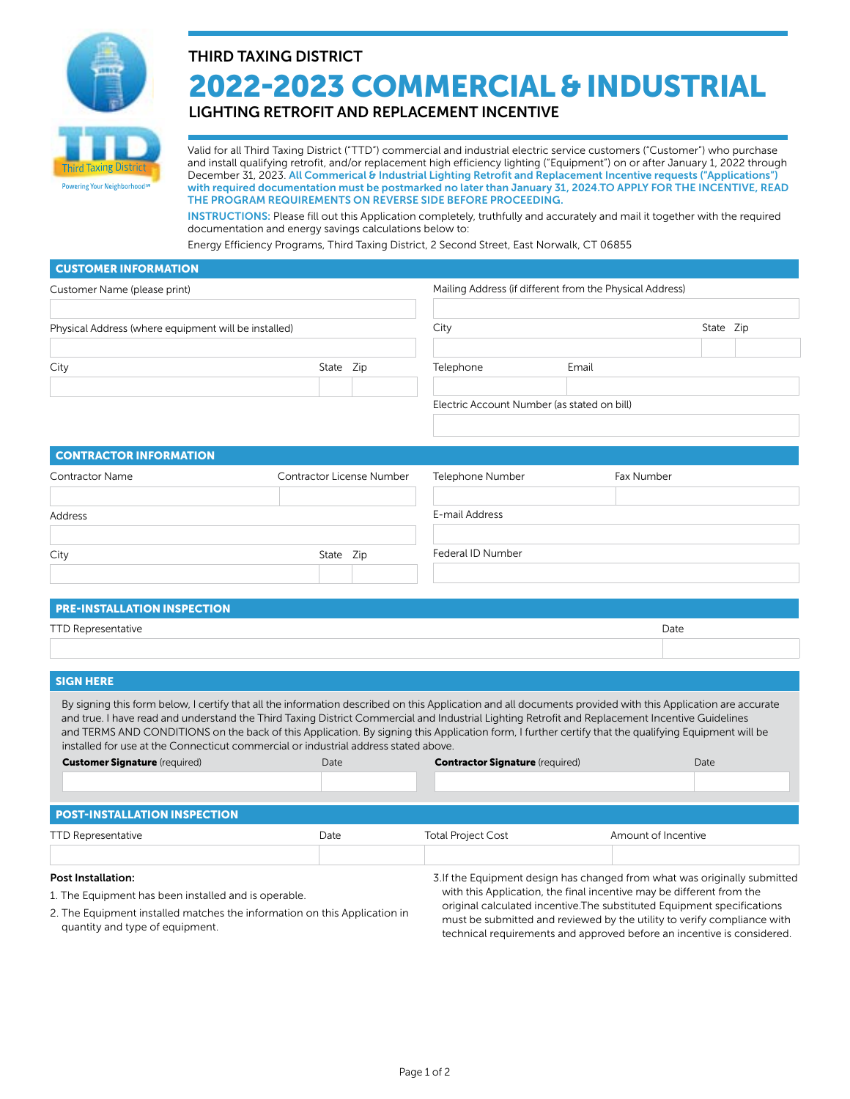

# THIRD TAXING DISTRICT 2022-2023 COMMERCIAL & INDUSTRIAL

## LIGHTING RETROFIT AND REPLACEMENT INCENTIVE

Valid for all Third Taxing District ("TTD") commercial and industrial electric service customers ("Customer") who purchase and install qualifying retrofit, and/or replacement high efficiency lighting ("Equipment") on or after January 1, 2022 through December 31, 2023. All Commerical & Industrial Lighting Retrofit and Replacement Incentive requests ("Applications") with required documentation must be postmarked no later than January 31, 2024.TO APPLY FOR THE INCENTIVE, READ THE PROGRAM REQUIREMENTS ON REVERSE SIDE BEFORE PROCEEDING.

INSTRUCTIONS: Please fill out this Application completely, truthfully and accurately and mail it together with the required documentation and energy savings calculations below to:

Energy Efficiency Programs, Third Taxing District, 2 Second Street, East Norwalk, CT 06855

| <b>CUSTOMER INFORMATION</b>                                                                                                                                                                                                                                                                                                                                                                                                                                                                                                                                 |                                                          |                           |                                                                                                                                                                                                                              |                     |            |           |  |
|-------------------------------------------------------------------------------------------------------------------------------------------------------------------------------------------------------------------------------------------------------------------------------------------------------------------------------------------------------------------------------------------------------------------------------------------------------------------------------------------------------------------------------------------------------------|----------------------------------------------------------|---------------------------|------------------------------------------------------------------------------------------------------------------------------------------------------------------------------------------------------------------------------|---------------------|------------|-----------|--|
| Customer Name (please print)                                                                                                                                                                                                                                                                                                                                                                                                                                                                                                                                | Mailing Address (if different from the Physical Address) |                           |                                                                                                                                                                                                                              |                     |            |           |  |
|                                                                                                                                                                                                                                                                                                                                                                                                                                                                                                                                                             |                                                          |                           |                                                                                                                                                                                                                              |                     |            |           |  |
| Physical Address (where equipment will be installed)                                                                                                                                                                                                                                                                                                                                                                                                                                                                                                        |                                                          |                           | City                                                                                                                                                                                                                         |                     |            | State Zip |  |
|                                                                                                                                                                                                                                                                                                                                                                                                                                                                                                                                                             |                                                          |                           |                                                                                                                                                                                                                              |                     |            |           |  |
| City                                                                                                                                                                                                                                                                                                                                                                                                                                                                                                                                                        |                                                          | State Zip                 | Telephone                                                                                                                                                                                                                    | Email               |            |           |  |
|                                                                                                                                                                                                                                                                                                                                                                                                                                                                                                                                                             |                                                          |                           |                                                                                                                                                                                                                              |                     |            |           |  |
|                                                                                                                                                                                                                                                                                                                                                                                                                                                                                                                                                             |                                                          |                           | Electric Account Number (as stated on bill)                                                                                                                                                                                  |                     |            |           |  |
|                                                                                                                                                                                                                                                                                                                                                                                                                                                                                                                                                             |                                                          |                           |                                                                                                                                                                                                                              |                     |            |           |  |
| <b>CONTRACTOR INFORMATION</b>                                                                                                                                                                                                                                                                                                                                                                                                                                                                                                                               |                                                          |                           |                                                                                                                                                                                                                              |                     |            |           |  |
| <b>Contractor Name</b>                                                                                                                                                                                                                                                                                                                                                                                                                                                                                                                                      |                                                          | Contractor License Number | Telephone Number                                                                                                                                                                                                             |                     | Fax Number |           |  |
| Address                                                                                                                                                                                                                                                                                                                                                                                                                                                                                                                                                     |                                                          |                           | E-mail Address                                                                                                                                                                                                               |                     |            |           |  |
|                                                                                                                                                                                                                                                                                                                                                                                                                                                                                                                                                             |                                                          |                           |                                                                                                                                                                                                                              |                     |            |           |  |
| City                                                                                                                                                                                                                                                                                                                                                                                                                                                                                                                                                        | State Zip                                                |                           | Federal ID Number                                                                                                                                                                                                            |                     |            |           |  |
|                                                                                                                                                                                                                                                                                                                                                                                                                                                                                                                                                             |                                                          |                           |                                                                                                                                                                                                                              |                     |            |           |  |
|                                                                                                                                                                                                                                                                                                                                                                                                                                                                                                                                                             |                                                          |                           |                                                                                                                                                                                                                              |                     |            |           |  |
| <b>PRE-INSTALLATION INSPECTION</b>                                                                                                                                                                                                                                                                                                                                                                                                                                                                                                                          |                                                          |                           |                                                                                                                                                                                                                              |                     |            |           |  |
| <b>TTD Representative</b>                                                                                                                                                                                                                                                                                                                                                                                                                                                                                                                                   |                                                          |                           |                                                                                                                                                                                                                              |                     | Date       |           |  |
|                                                                                                                                                                                                                                                                                                                                                                                                                                                                                                                                                             |                                                          |                           |                                                                                                                                                                                                                              |                     |            |           |  |
| <b>SIGN HERE</b>                                                                                                                                                                                                                                                                                                                                                                                                                                                                                                                                            |                                                          |                           |                                                                                                                                                                                                                              |                     |            |           |  |
| By signing this form below, I certify that all the information described on this Application and all documents provided with this Application are accurate<br>and true. I have read and understand the Third Taxing District Commercial and Industrial Lighting Retrofit and Replacement Incentive Guidelines<br>and TERMS AND CONDITIONS on the back of this Application. By signing this Application form, I further certify that the qualifying Equipment will be<br>installed for use at the Connecticut commercial or industrial address stated above. |                                                          |                           |                                                                                                                                                                                                                              |                     |            |           |  |
| <b>Customer Signature</b> (required)                                                                                                                                                                                                                                                                                                                                                                                                                                                                                                                        | Date                                                     |                           | <b>Contractor Signature</b> (required)                                                                                                                                                                                       |                     |            | Date      |  |
|                                                                                                                                                                                                                                                                                                                                                                                                                                                                                                                                                             |                                                          |                           |                                                                                                                                                                                                                              |                     |            |           |  |
| <b>POST-INSTALLATION INSPECTION</b>                                                                                                                                                                                                                                                                                                                                                                                                                                                                                                                         |                                                          |                           |                                                                                                                                                                                                                              |                     |            |           |  |
| <b>TTD Representative</b>                                                                                                                                                                                                                                                                                                                                                                                                                                                                                                                                   | Date                                                     |                           | <b>Total Project Cost</b>                                                                                                                                                                                                    | Amount of Incentive |            |           |  |
| <b>Post Installation:</b>                                                                                                                                                                                                                                                                                                                                                                                                                                                                                                                                   |                                                          |                           | 3. If the Equipment design has changed from what was originally submitted                                                                                                                                                    |                     |            |           |  |
| 1. The Equipment has been installed and is operable.                                                                                                                                                                                                                                                                                                                                                                                                                                                                                                        |                                                          |                           | with this Application, the final incentive may be different from the                                                                                                                                                         |                     |            |           |  |
| 2. The Equipment installed matches the information on this Application in<br>quantity and type of equipment.                                                                                                                                                                                                                                                                                                                                                                                                                                                |                                                          |                           | original calculated incentive. The substituted Equipment specifications<br>must be submitted and reviewed by the utility to verify compliance with<br>technical requirements and approved before an incentive is considered. |                     |            |           |  |